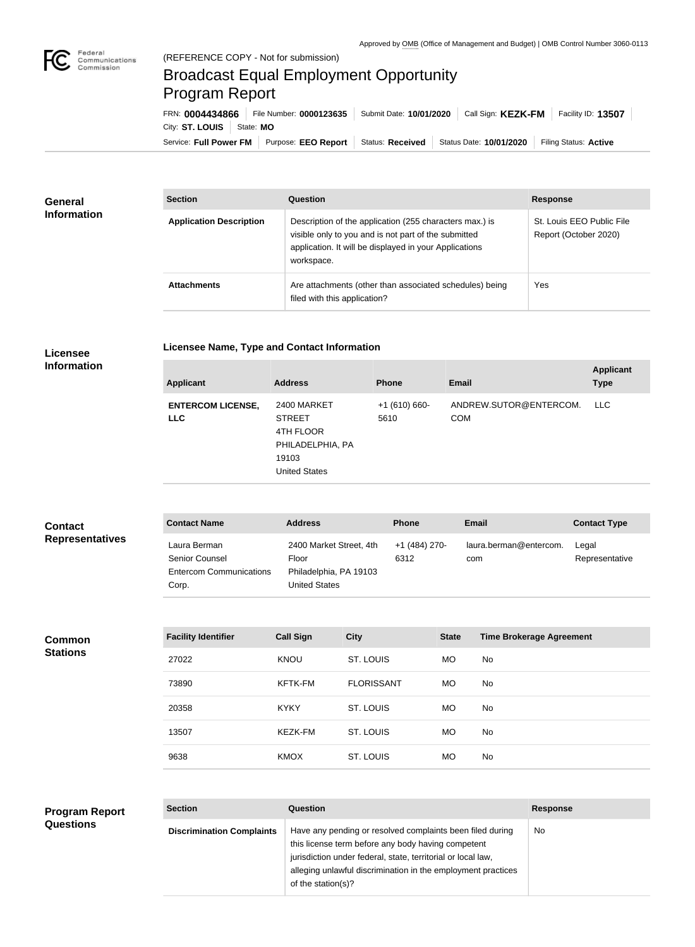

## Broadcast Equal Employment Opportunity Program Report

Service: Full Power FM Purpose: EEO Report | Status: Received | Status Date: 10/01/2020 | Filing Status: Active City: **ST. LOUIS** | State: MO FRN: **0004434866** File Number: **0000123635** Submit Date: **10/01/2020** Call Sign: **KEZK-FM** Facility ID: **13507**

| <b>General</b><br><b>Information</b> | <b>Section</b>                 | <b>Question</b>                                                                                                                                                                         | <b>Response</b>                                    |  |
|--------------------------------------|--------------------------------|-----------------------------------------------------------------------------------------------------------------------------------------------------------------------------------------|----------------------------------------------------|--|
|                                      | <b>Application Description</b> | Description of the application (255 characters max.) is<br>visible only to you and is not part of the submitted<br>application. It will be displayed in your Applications<br>workspace. | St. Louis EEO Public File<br>Report (October 2020) |  |
|                                      | <b>Attachments</b>             | Are attachments (other than associated schedules) being<br>filed with this application?                                                                                                 | Yes                                                |  |

**Licensee Information**

|  |  | <b>Licensee Name, Type and Contact Information</b> |
|--|--|----------------------------------------------------|
|  |  |                                                    |

| <b>Applicant</b>                       | <b>Address</b>                                                                                 | <b>Phone</b>          | Email                                | <b>Applicant</b><br><b>Type</b> |
|----------------------------------------|------------------------------------------------------------------------------------------------|-----------------------|--------------------------------------|---------------------------------|
| <b>ENTERCOM LICENSE,</b><br><b>LLC</b> | 2400 MARKET<br><b>STREET</b><br>4TH FLOOR<br>PHILADELPHIA, PA<br>19103<br><b>United States</b> | $+1(610)660-$<br>5610 | ANDREW.SUTOR@ENTERCOM.<br><b>COM</b> | LLC                             |

| <b>Contact</b>         | <b>Contact Name</b>                                                       | <b>Address</b>                                                                     | <b>Phone</b>          | Email                         | <b>Contact Type</b>     |
|------------------------|---------------------------------------------------------------------------|------------------------------------------------------------------------------------|-----------------------|-------------------------------|-------------------------|
| <b>Representatives</b> | Laura Berman<br>Senior Counsel<br><b>Entercom Communications</b><br>Corp. | 2400 Market Street, 4th<br>Floor<br>Philadelphia, PA 19103<br><b>United States</b> | +1 (484) 270-<br>6312 | laura.berman@entercom.<br>com | Legal<br>Representative |

**Common Stations**

| <b>Facility Identifier</b> | <b>Call Sign</b> | <b>City</b>       | <b>State</b> | <b>Time Brokerage Agreement</b> |
|----------------------------|------------------|-------------------|--------------|---------------------------------|
| 27022                      | <b>KNOU</b>      | ST. LOUIS         | MO.          | No.                             |
| 73890                      | <b>KFTK-FM</b>   | <b>FLORISSANT</b> | MO.          | No.                             |
| 20358                      | <b>KYKY</b>      | ST. LOUIS         | <b>MO</b>    | No.                             |
| 13507                      | KEZK-FM          | ST. LOUIS         | <b>MO</b>    | <b>No</b>                       |
| 9638                       | <b>KMOX</b>      | ST. LOUIS         | <b>MO</b>    | <b>No</b>                       |

| <b>Program Report</b> | <b>Section</b>                   | Question                                                                                                                                                                                                                                                              | <b>Response</b> |
|-----------------------|----------------------------------|-----------------------------------------------------------------------------------------------------------------------------------------------------------------------------------------------------------------------------------------------------------------------|-----------------|
| <b>Questions</b>      | <b>Discrimination Complaints</b> | Have any pending or resolved complaints been filed during<br>this license term before any body having competent<br>jurisdiction under federal, state, territorial or local law,<br>alleging unlawful discrimination in the employment practices<br>of the station(s)? | <b>No</b>       |